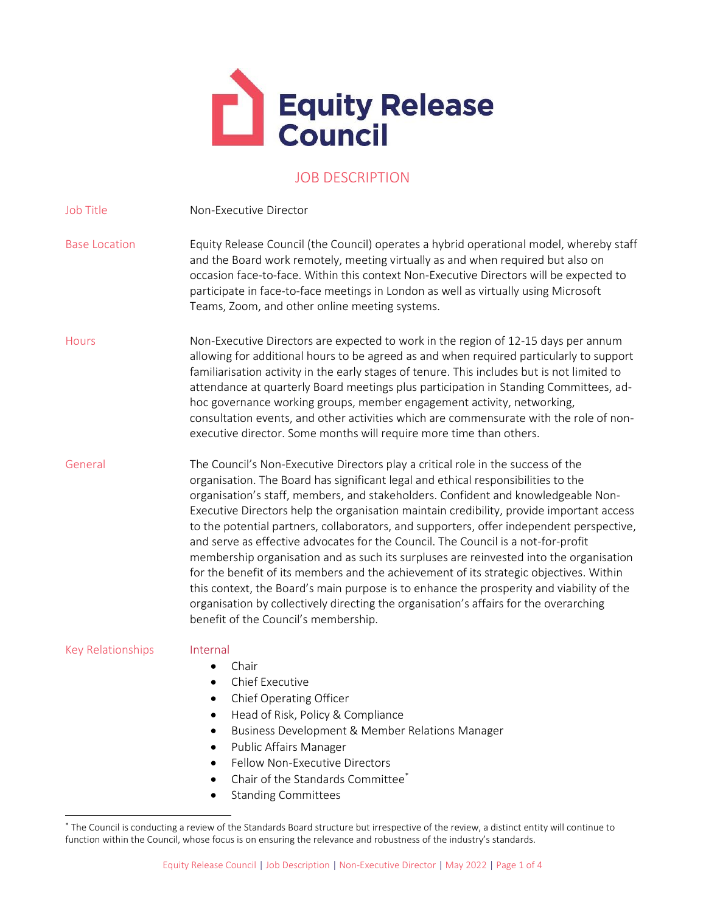

## JOB DESCRIPTION

| Job Title                | Non-Executive Director                                                                                                                                                                                                                                                                                                                                                                                                                                                                                                                                                                                                                                                                                                                                                                                                                                                                                                                                   |  |
|--------------------------|----------------------------------------------------------------------------------------------------------------------------------------------------------------------------------------------------------------------------------------------------------------------------------------------------------------------------------------------------------------------------------------------------------------------------------------------------------------------------------------------------------------------------------------------------------------------------------------------------------------------------------------------------------------------------------------------------------------------------------------------------------------------------------------------------------------------------------------------------------------------------------------------------------------------------------------------------------|--|
| <b>Base Location</b>     | Equity Release Council (the Council) operates a hybrid operational model, whereby staff<br>and the Board work remotely, meeting virtually as and when required but also on<br>occasion face-to-face. Within this context Non-Executive Directors will be expected to<br>participate in face-to-face meetings in London as well as virtually using Microsoft<br>Teams, Zoom, and other online meeting systems.                                                                                                                                                                                                                                                                                                                                                                                                                                                                                                                                            |  |
| Hours                    | Non-Executive Directors are expected to work in the region of 12-15 days per annum<br>allowing for additional hours to be agreed as and when required particularly to support<br>familiarisation activity in the early stages of tenure. This includes but is not limited to<br>attendance at quarterly Board meetings plus participation in Standing Committees, ad-<br>hoc governance working groups, member engagement activity, networking,<br>consultation events, and other activities which are commensurate with the role of non-<br>executive director. Some months will require more time than others.                                                                                                                                                                                                                                                                                                                                         |  |
| General                  | The Council's Non-Executive Directors play a critical role in the success of the<br>organisation. The Board has significant legal and ethical responsibilities to the<br>organisation's staff, members, and stakeholders. Confident and knowledgeable Non-<br>Executive Directors help the organisation maintain credibility, provide important access<br>to the potential partners, collaborators, and supporters, offer independent perspective,<br>and serve as effective advocates for the Council. The Council is a not-for-profit<br>membership organisation and as such its surpluses are reinvested into the organisation<br>for the benefit of its members and the achievement of its strategic objectives. Within<br>this context, the Board's main purpose is to enhance the prosperity and viability of the<br>organisation by collectively directing the organisation's affairs for the overarching<br>benefit of the Council's membership. |  |
| <b>Key Relationships</b> | Internal<br>Chair<br>$\bullet$<br>Chief Executive<br>$\bullet$<br>Chief Operating Officer<br>$\bullet$<br>Head of Risk, Policy & Compliance<br>Business Development & Member Relations Manager<br>Public Affairs Manager<br>Fellow Non-Executive Directors<br>Chair of the Standards Committee <sup>*</sup><br><b>Standing Committees</b>                                                                                                                                                                                                                                                                                                                                                                                                                                                                                                                                                                                                                |  |

<sup>\*</sup> The Council is conducting a review of the Standards Board structure but irrespective of the review, a distinct entity will continue to function within the Council, whose focus is on ensuring the relevance and robustness of the industry's standards.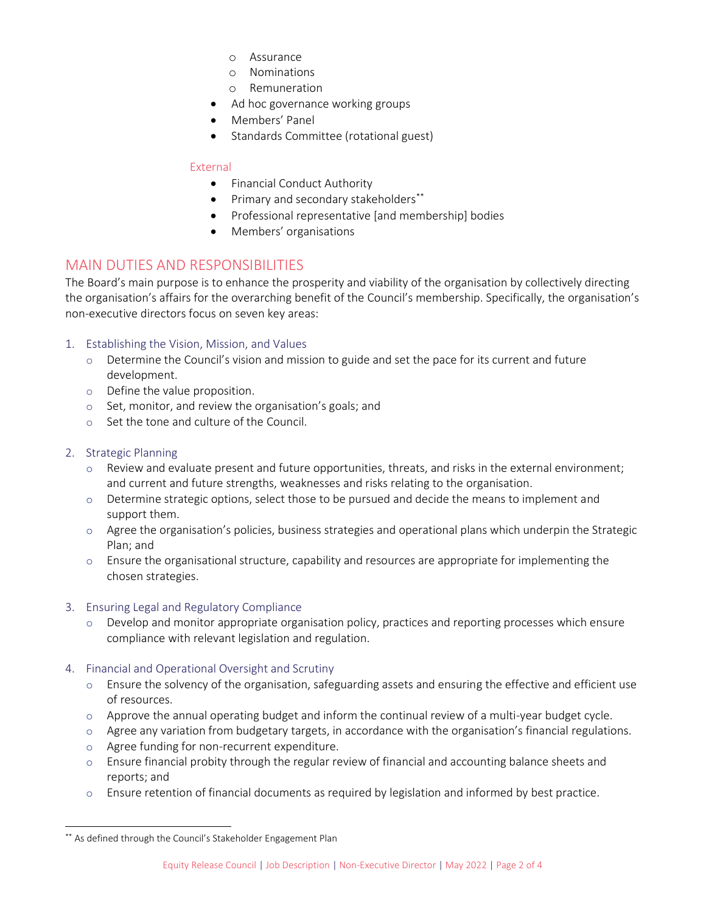- o Assurance
- o Nominations
- o Remuneration
- Ad hoc governance working groups
- Members' Panel
- Standards Committee (rotational guest)

### External

- Financial Conduct Authority
- Primary and secondary stakeholders\*\*
- Professional representative [and membership] bodies
- Members' organisations

# MAIN DUTIES AND RESPONSIBILITIES

The Board's main purpose is to enhance the prosperity and viability of the organisation by collectively directing the organisation's affairs for the overarching benefit of the Council's membership. Specifically, the organisation's non-executive directors focus on seven key areas:

- 1. Establishing the Vision, Mission, and Values
	- o Determine the Council's vision and mission to guide and set the pace for its current and future development.
	- o Define the value proposition.
	- o Set, monitor, and review the organisation's goals; and
	- o Set the tone and culture of the Council.
- 2. Strategic Planning
	- $\circ$  Review and evaluate present and future opportunities, threats, and risks in the external environment; and current and future strengths, weaknesses and risks relating to the organisation.
	- o Determine strategic options, select those to be pursued and decide the means to implement and support them.
	- o Agree the organisation's policies, business strategies and operational plans which underpin the Strategic Plan; and
	- o Ensure the organisational structure, capability and resources are appropriate for implementing the chosen strategies.
- 3. Ensuring Legal and Regulatory Compliance
	- o Develop and monitor appropriate organisation policy, practices and reporting processes which ensure compliance with relevant legislation and regulation.

## 4. Financial and Operational Oversight and Scrutiny

- o Ensure the solvency of the organisation, safeguarding assets and ensuring the effective and efficient use of resources.
- o Approve the annual operating budget and inform the continual review of a multi-year budget cycle.
- o Agree any variation from budgetary targets, in accordance with the organisation's financial regulations.
- o Agree funding for non-recurrent expenditure.
- o Ensure financial probity through the regular review of financial and accounting balance sheets and reports; and
- o Ensure retention of financial documents as required by legislation and informed by best practice.

<sup>\*\*</sup> As defined through the Council's Stakeholder Engagement Plan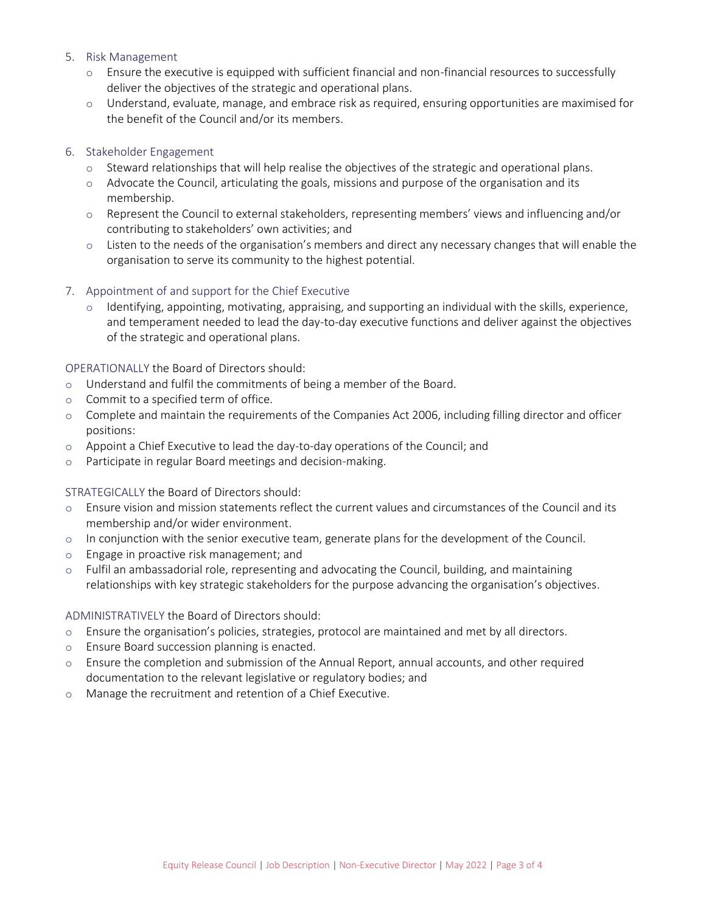#### 5. Risk Management

- o Ensure the executive is equipped with sufficient financial and non-financial resources to successfully deliver the objectives of the strategic and operational plans.
- o Understand, evaluate, manage, and embrace risk as required, ensuring opportunities are maximised for the benefit of the Council and/or its members.

#### 6. Stakeholder Engagement

- $\circ$  Steward relationships that will help realise the objectives of the strategic and operational plans.
- o Advocate the Council, articulating the goals, missions and purpose of the organisation and its membership.
- o Represent the Council to external stakeholders, representing members' views and influencing and/or contributing to stakeholders' own activities; and
- o Listen to the needs of the organisation's members and direct any necessary changes that will enable the organisation to serve its community to the highest potential.

#### 7. Appointment of and support for the Chief Executive

 $\circ$  Identifying, appointing, motivating, appraising, and supporting an individual with the skills, experience, and temperament needed to lead the day-to-day executive functions and deliver against the objectives of the strategic and operational plans.

OPERATIONALLY the Board of Directors should:

- o Understand and fulfil the commitments of being a member of the Board.
- o Commit to a specified term of office.
- o Complete and maintain the requirements of the Companies Act 2006, including filling director and officer positions:
- $\circ$  Appoint a Chief Executive to lead the day-to-day operations of the Council; and
- o Participate in regular Board meetings and decision-making.

STRATEGICALLY the Board of Directors should:

- o Ensure vision and mission statements reflect the current values and circumstances of the Council and its membership and/or wider environment.
- $\circ$  In conjunction with the senior executive team, generate plans for the development of the Council.
- o Engage in proactive risk management; and
- o Fulfil an ambassadorial role, representing and advocating the Council, building, and maintaining relationships with key strategic stakeholders for the purpose advancing the organisation's objectives.

ADMINISTRATIVELY the Board of Directors should:

- o Ensure the organisation's policies, strategies, protocol are maintained and met by all directors.
- o Ensure Board succession planning is enacted.
- o Ensure the completion and submission of the Annual Report, annual accounts, and other required documentation to the relevant legislative or regulatory bodies; and
- o Manage the recruitment and retention of a Chief Executive.